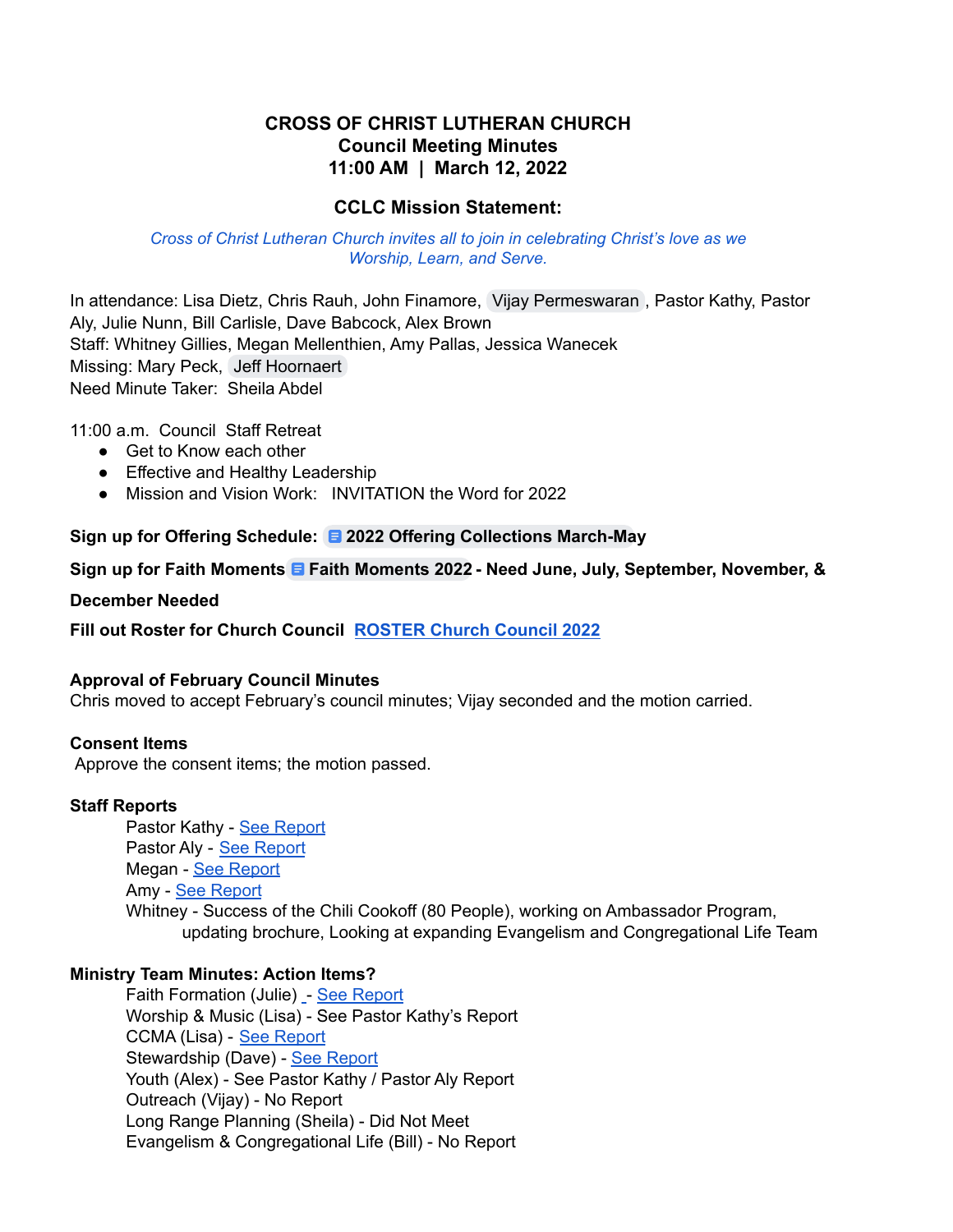## **CROSS OF CHRIST LUTHERAN CHURCH Council Meeting Minutes 11:00 AM | March 12, 2022**

### **CCLC Mission Statement:**

#### *Cross of Christ Lutheran Church invites all to join in celebrating Christ's love as we Worship, Learn, and Serve.*

In attendance: Lisa Dietz, Chris Rauh, John Finamore, Vijay [Permeswaran](mailto:vpermeswaran@gmail.com) , Pastor Kathy, Pastor Aly, Julie Nunn, Bill Carlisle, Dave Babcock, Alex Brown Staff: Whitney Gillies, Megan Mellenthien, Amy Pallas, Jessica Wanecek Missing: Mary Peck, Jeff [Hoornaert](mailto:jeff.hoornaert@gmail.com) Need Minute Taker: Sheila Abdel

11:00 a.m. Council Staff Retreat

- Get to Know each other
- Effective and Healthy Leadership
- Mission and Vision Work: INVITATION the Word for 2022

**Sign up for Offering Schedule: 2022 Offering [Collections](https://docs.google.com/document/d/1zNCBLqesGXSCXoNwUEkVKVUrMAnENcT5sBfHu2lniGI/edit) March-May**

### **Sign up for Faith Moments Faith [Moments](https://docs.google.com/document/d/1nf5BhwYR2KUedbzLVqOZTJY2UCyMalogQNYmxe56sBs/edit?usp=sharing) 2022 - Need June, July, September, November, &**

#### **December Needed**

**Fill out Roster for Church Council [ROSTER](https://docs.google.com/document/u/0/d/1-L2Y29u92Wh_qFBW8WZZimXh4-I_UNAumob7_7fJXNw/edit) Church Council 2022**

#### **Approval of February Council Minutes**

Chris moved to accept February's council minutes; Vijay seconded and the motion carried.

#### **Consent Items**

Approve the consent items; the motion passed.

#### **Staff Reports**

Pastor Kathy - See [Report](https://docs.google.com/document/d/13XGBxRxvEHTpOmwUhnC305GduM1ziTv-/edit) Pastor Aly - See [Report](https://drive.google.com/drive/u/0/folders/12AYCfS-MTMpVUXslv6UjpjGuDWrYTY44) Megan - See [Report](https://docs.google.com/document/d/11axugaFVQql2qdbE3G0t-3VRzgh42Jy4-HmBVnWGVtw/edit) Amy - See [Report](https://docs.google.com/document/d/17JNnk3Z7lTGmybXykbQdDEacnuk8UfajbS0IBqUlMcI/edit) Whitney - Success of the Chili Cookoff (80 People), working on Ambassador Program, updating brochure, Looking at expanding Evangelism and Congregational Life Team

#### **Ministry Team Minutes: Action Items?**

Faith Formation (Julie) - See [Report](https://docs.google.com/document/d/1a0cz-77M2kM4wBzdChuIDa6-OMR_xIjA/edit) Worship & Music (Lisa) - See Pastor Kathy's Report CCMA (Lisa) - See [Report](https://docs.google.com/document/d/1ZxT3XxZzeaSyuJebedf0UOR3GMr0ghfhigy0Z53Y6xA/edit) Stewardship (Dave) - See [Report](https://docs.google.com/document/d/16tIR7E9iuGVpJRNL0eU-3JOBPqrL0Yi4vyZaMrsC2ng/edit) Youth (Alex) - See Pastor Kathy / Pastor Aly Report Outreach (Vijay) - No Report Long Range Planning (Sheila) - Did Not Meet Evangelism & Congregational Life (Bill) - No Report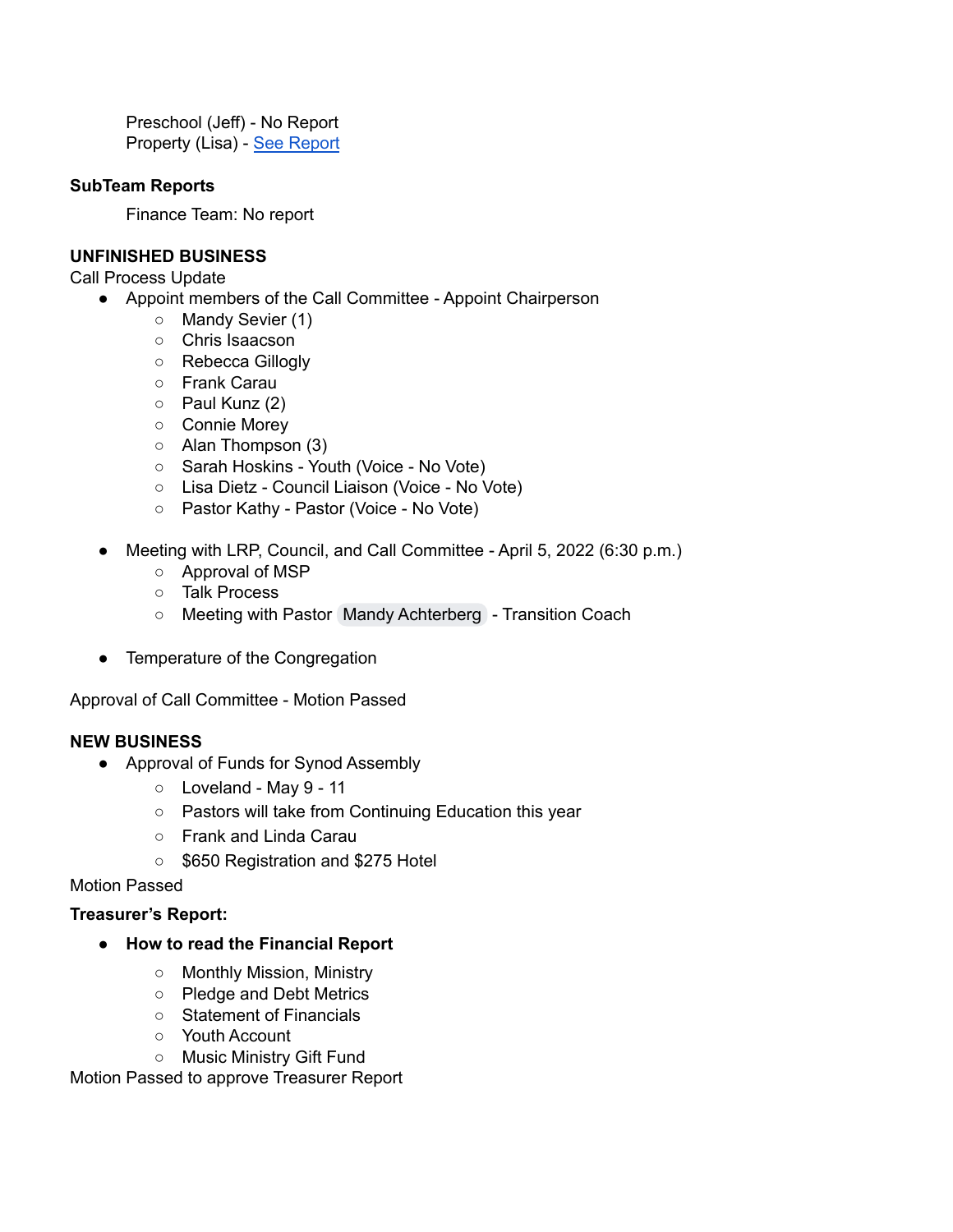Preschool (Jeff) - No Report Property (Lisa) - See [Report](https://docs.google.com/document/d/1mdg1MoiJbCe6RvPvhXMhcDETmJabWkR3/edit)

#### **SubTeam Reports**

Finance Team: No report

#### **UNFINISHED BUSINESS**

Call Process Update

● Appoint members of the Call Committee - Appoint Chairperson

- Mandy Sevier (1)
- Chris Isaacson
- Rebecca Gillogly
- Frank Carau
- Paul Kunz (2)
- Connie Morey
- Alan Thompson (3)
- Sarah Hoskins Youth (Voice No Vote)
- Lisa Dietz Council Liaison (Voice No Vote)
- Pastor Kathy Pastor (Voice No Vote)
- Meeting with LRP, Council, and Call Committee April 5, 2022 (6:30 p.m.)
	- Approval of MSP
	- Talk Process
	- Meeting with Pastor Mandy [Achterberg](mailto:machterberg@rmselca.org) Transition Coach
- Temperature of the Congregation

Approval of Call Committee - Motion Passed

#### **NEW BUSINESS**

- Approval of Funds for Synod Assembly
	- Loveland May 9 11
	- Pastors will take from Continuing Education this year
	- Frank and Linda Carau
	- \$650 Registration and \$275 Hotel

Motion Passed

#### **Treasurer's Report:**

- **● How to read the Financial Report**
	- Monthly Mission, Ministry
	- Pledge and Debt Metrics
	- Statement of Financials
	- Youth Account
	- Music Ministry Gift Fund

Motion Passed to approve Treasurer Report